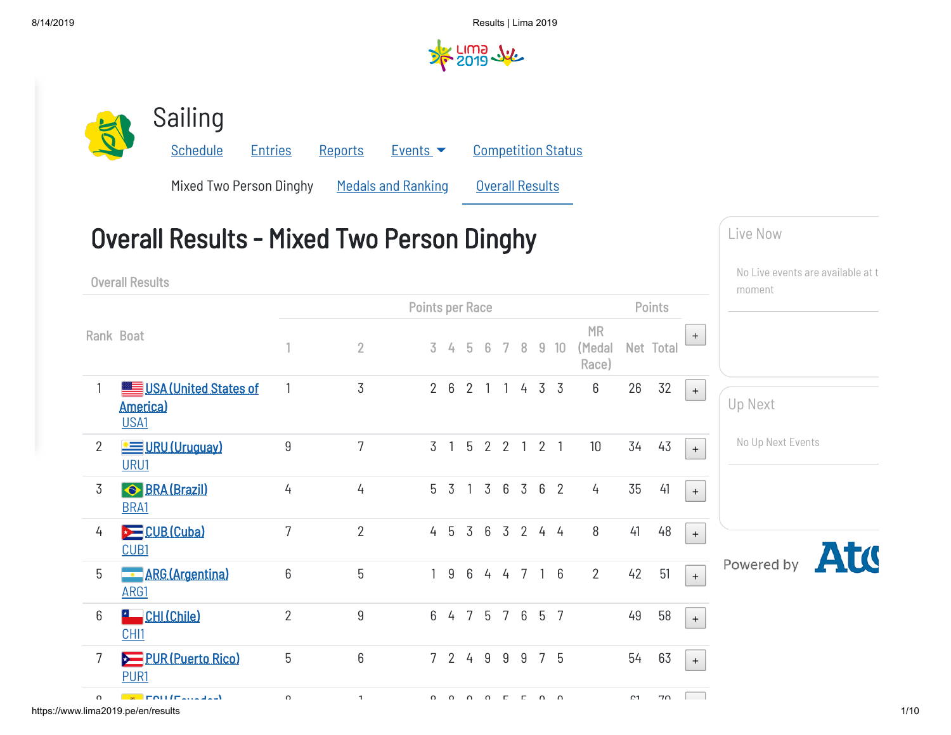

7 <mark>PUR [\(Puerto](https://wrsd.lima2019.pe/PAG2019/en/results/all-sports/noc-entries-puerto-rico.htm) Rico)</mark> 5 6 7 2 4 9 9 9 7 5 54 63 <sub>+</sub>

Live Now No Live events are available at t moment Up Next No Up Next EventsAtt Powered by

 $\overline{\phantom{a}}$ 

https://www.lima2019.pe/en/results 1/10 8 8 1 8 8 9 8 5 5 9 9 61 70

[PUR1](https://wrsd.lima2019.pe/PAG2019/en/results/sailing/athlete-profile-nsalxsnipe-pur01-pur1.htm)

 $E = E(1/T_{\text{e}})/T_{\text{e}}$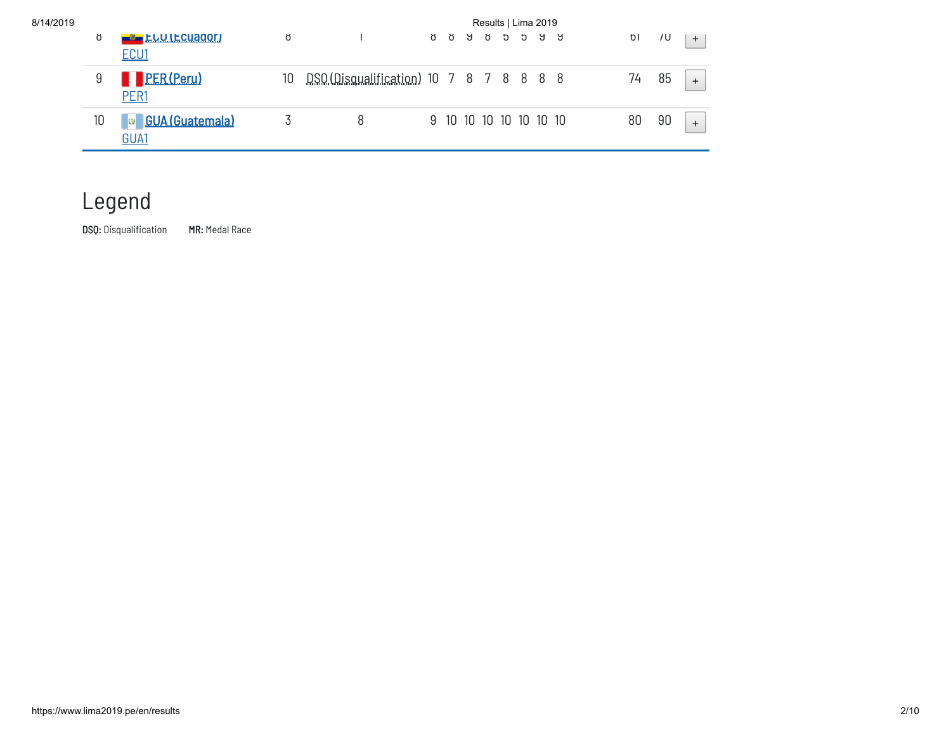| 8/14/2019 |    |                                              |    | Results   Lima 2019                     |  |                        |  |  |  |  |  |  |    |    |           |
|-----------|----|----------------------------------------------|----|-----------------------------------------|--|------------------------|--|--|--|--|--|--|----|----|-----------|
|           | ŏ  | <b>EU LUILCUADOR</b><br>ECU1                 | ŏ  |                                         |  | <b>A</b> A A A A A A   |  |  |  |  |  |  | ΟI | 7U | $+$       |
|           |    | <b>PER(Peru)</b><br>PER <sub>1</sub>         | 10 | DSO (Disqualification) 10 7 8 7 8 8 8 8 |  |                        |  |  |  |  |  |  | 74 | 85 | $+$       |
|           | 10 | <b>GUA</b> (Guatemala)<br><u>  ශ</u><br>GUA1 |    |                                         |  | 9 10 10 10 10 10 10 10 |  |  |  |  |  |  | 80 | 90 | $\ddot{}$ |

## Legend

DSQ: Disqualification MR: Medal Race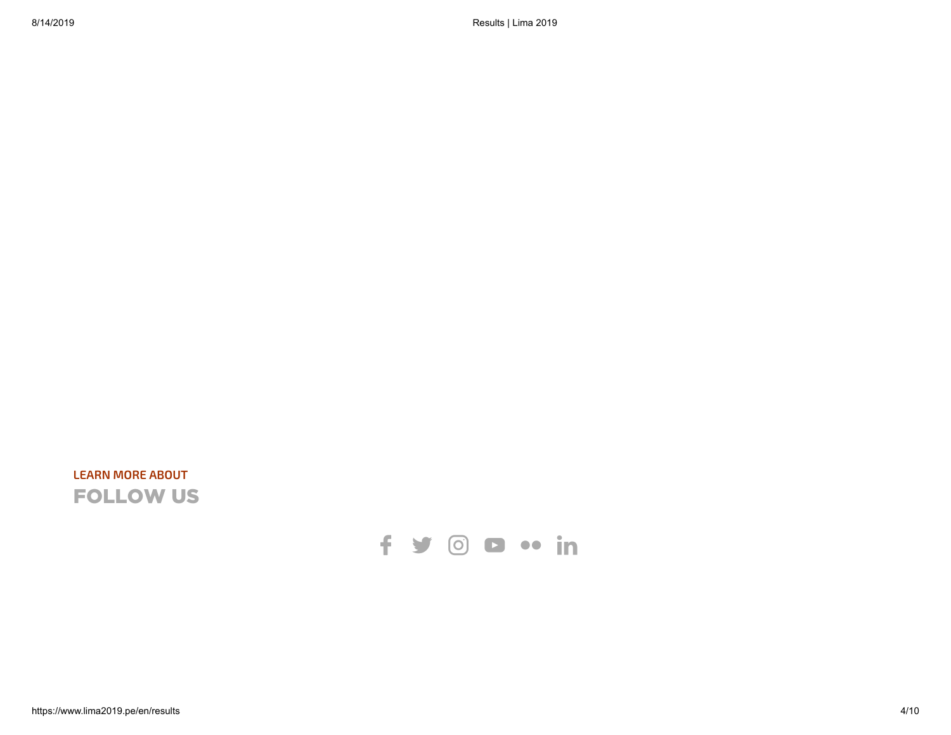## **LEARN MORE ABOUT** FOLLOW US

## f y o a .. in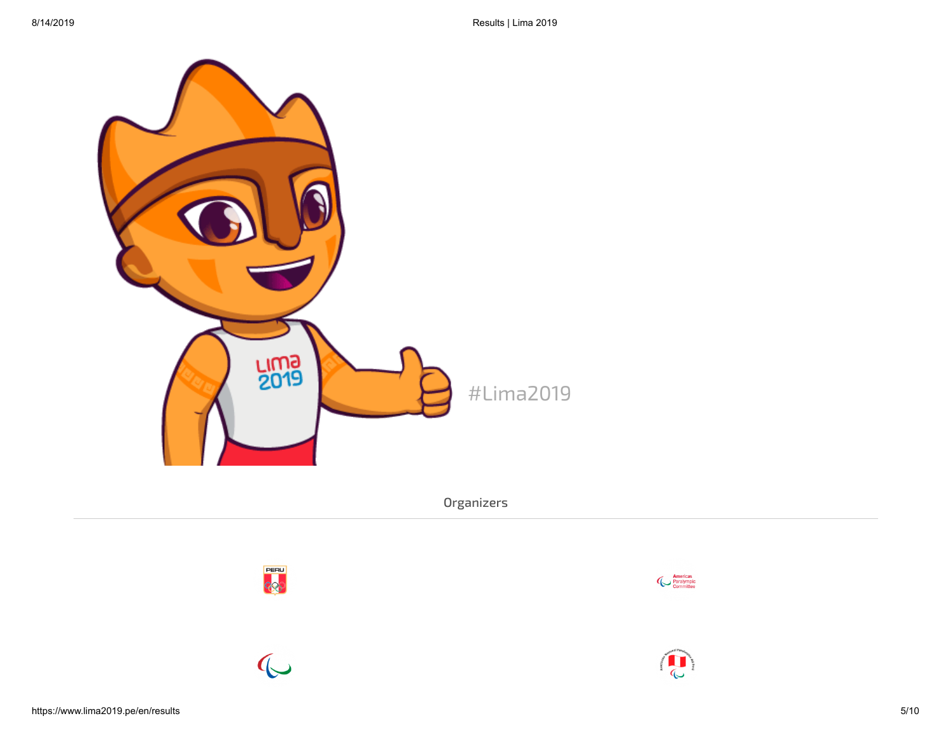

Organizers



 $\mathbb{C}$ 



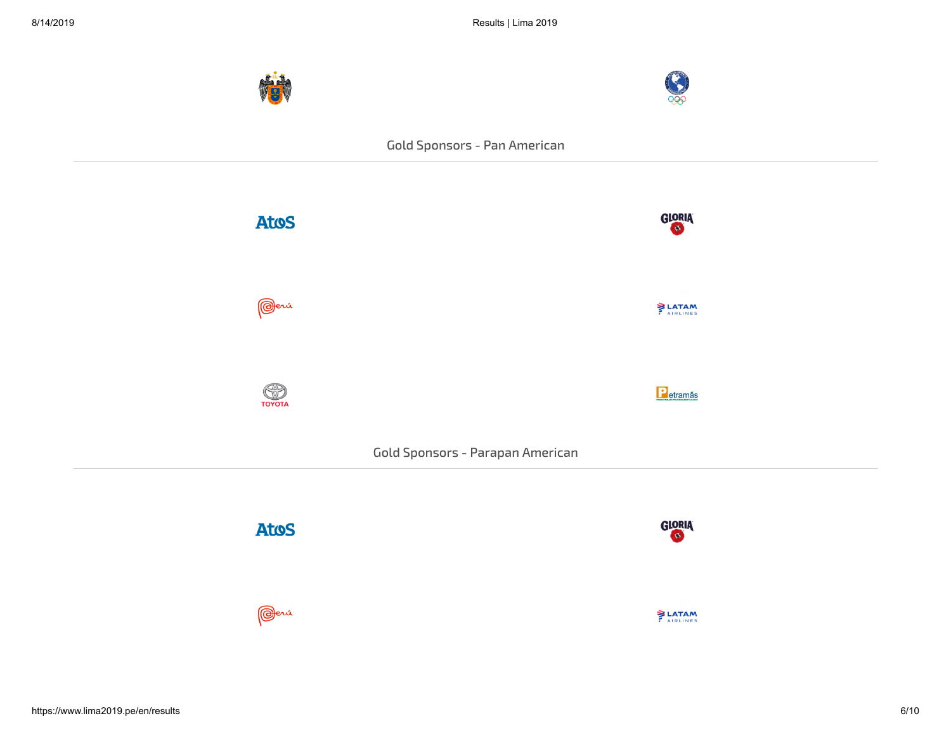



## Gold Sponsors - Pan American





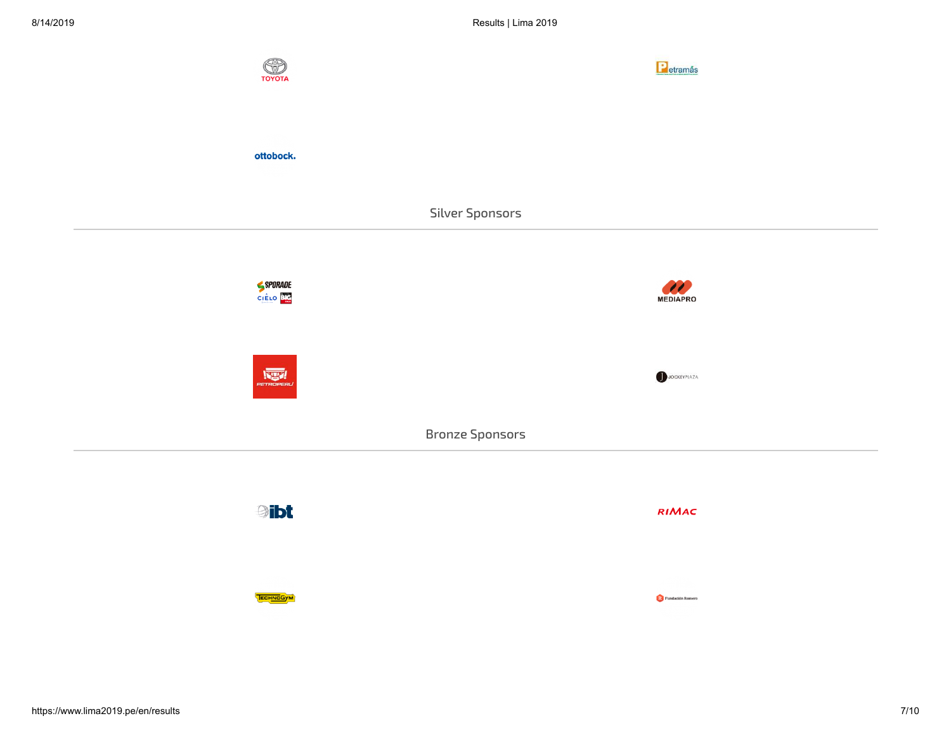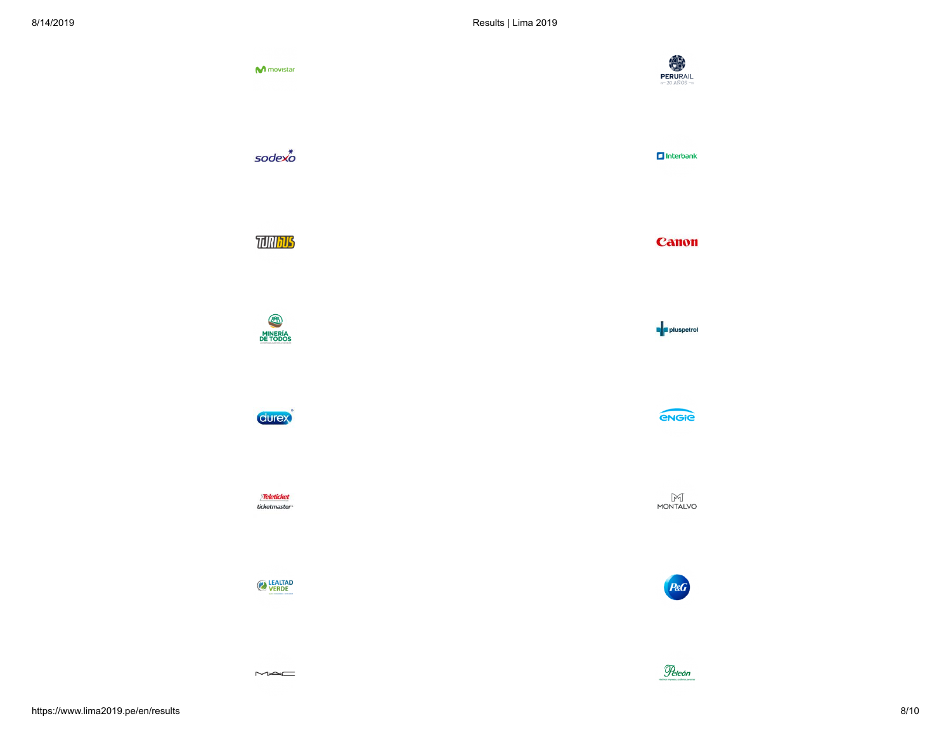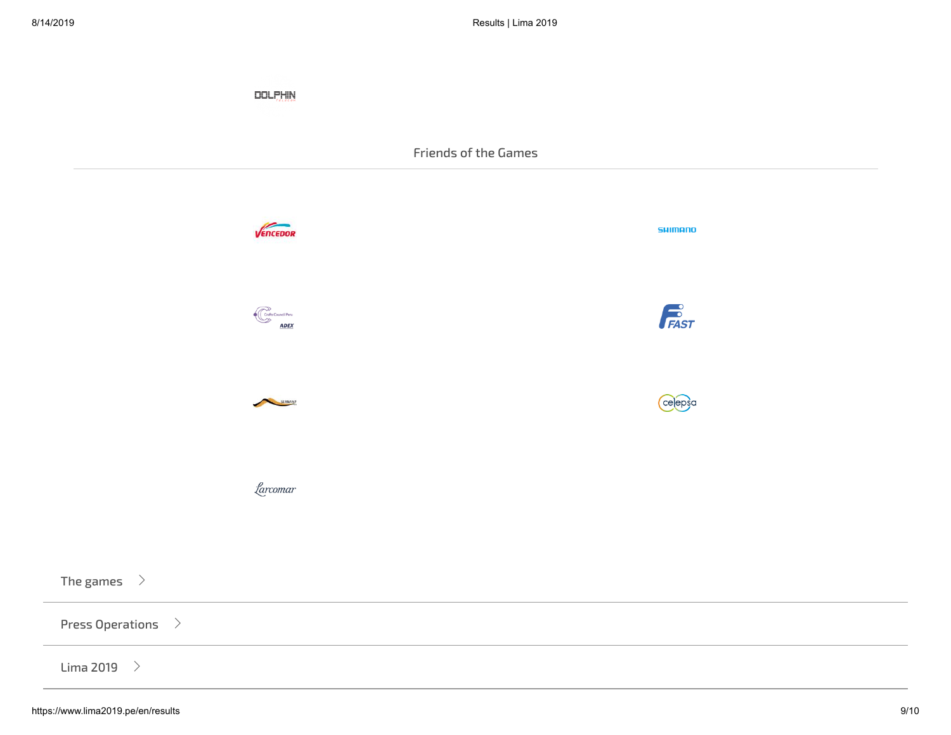|                                    | <b>DOLPHIN</b>      |                      |          |  |
|------------------------------------|---------------------|----------------------|----------|--|
|                                    |                     | Friends of the Games |          |  |
|                                    | VENCEDOR            |                      | SHIMANO  |  |
|                                    | Crafts Council Peru |                      | FAST     |  |
|                                    | SERNANP             |                      | (celepsa |  |
|                                    | farcomar            |                      |          |  |
| The games $\rightarrow$            |                     |                      |          |  |
| Press Operations $\quad \rangle$   |                     |                      |          |  |
| Lima 2019 $\rightarrow$            |                     |                      |          |  |
| https://www.lima2019.pe/en/results |                     |                      |          |  |